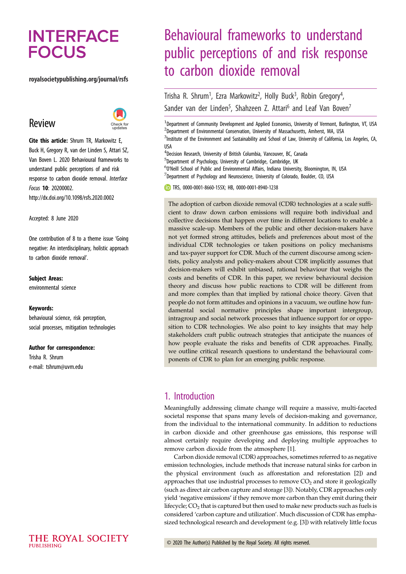# **INTERFACE FOCUS**

#### royalsocietypublishing.org/journal/rsfs

# Review



Cite this article: Shrum TR, Markowitz E, Buck H, Gregory R, van der Linden S, Attari SZ, Van Boven L. 2020 Behavioural frameworks to understand public perceptions of and risk response to carbon dioxide removal. Interface Focus 10: 20200002. http://dx.doi.org/10.1098/rsfs.2020.0002

Accepted: 8 June 2020

One contribution of 8 to a theme issue 'Going negative: An interdisciplinary, holistic approach to carbon dioxide removal'.

#### Subject Areas:

environmental science

#### Keywords:

behavioural science, risk perception, social processes, mitigation technologies

#### Author for correspondence:

Trisha R. Shrum e-mail: [tshrum@uvm.edu](mailto:tshrum@uvm.edu)

# Behavioural frameworks to understand public perceptions of and risk response to carbon dioxide removal

#### Trisha R. Shrum<sup>1</sup>, Ezra Markowitz<sup>2</sup>, Holly Buck<sup>3</sup>, Robin Gregory<sup>4</sup> ,

Sander van der Linden<sup>5</sup>, Shahzeen Z. Attari<sup>6</sup> and Leaf Van Boven<sup>7</sup>

<sup>1</sup>Department of Community Development and Applied Economics, University of Vermont, Burlington, VT, USA <sup>2</sup>Department of Environmental Conservation, University of Massachusetts, Amherst, MA, USA <sup>3</sup>Institute of the Environment and Sustainability and School of Law, University of California, Los Angeles, CA,

USA

<sup>4</sup> Decision Research, University of British Columbia, Vancouver, BC, Canada

5 Department of Psychology, University of Cambridge, Cambridge, UK

6 O'Neill School of Public and Environmental Affairs, Indiana University, Bloomington, IN, USA 7 Department of Psychology and Neuroscience, University of Colorado, Boulder, CO, USA

TRS, [0000-0001-8660-155X](http://orcid.org/0000-0001-8660-155X); HB, [0000-0001-8940-1238](http://orcid.org/0000-0001-8940-1238)

The adoption of carbon dioxide removal (CDR) technologies at a scale sufficient to draw down carbon emissions will require both individual and collective decisions that happen over time in different locations to enable a massive scale-up. Members of the public and other decision-makers have not yet formed strong attitudes, beliefs and preferences about most of the individual CDR technologies or taken positions on policy mechanisms and tax-payer support for CDR. Much of the current discourse among scientists, policy analysts and policy-makers about CDR implicitly assumes that decision-makers will exhibit unbiased, rational behaviour that weighs the costs and benefits of CDR. In this paper, we review behavioural decision theory and discuss how public reactions to CDR will be different from and more complex than that implied by rational choice theory. Given that people do not form attitudes and opinions in a vacuum, we outline how fundamental social normative principles shape important intergroup, intragroup and social network processes that influence support for or opposition to CDR technologies. We also point to key insights that may help stakeholders craft public outreach strategies that anticipate the nuances of how people evaluate the risks and benefits of CDR approaches. Finally, we outline critical research questions to understand the behavioural components of CDR to plan for an emerging public response.

# 1. Introduction

Meaningfully addressing climate change will require a massive, multi-faceted societal response that spans many levels of decision-making and governance, from the individual to the international community. In addition to reductions in carbon dioxide and other greenhouse gas emissions, this response will almost certainly require developing and deploying multiple approaches to remove carbon dioxide from the atmosphere [[1](#page-11-0)].

Carbon dioxide removal (CDR) approaches, sometimes referred to as negative emission technologies, include methods that increase natural sinks for carbon in the physical environment (such as afforestation and reforestation [\[2\]](#page-11-0)) and approaches that use industrial processes to remove  $CO<sub>2</sub>$  and store it geologically (such as direct air carbon capture and storage [\[3](#page-11-0)]). Notably, CDR approaches only yield 'negative emissions' if they remove more carbon than they emit during their lifecycle;  $CO<sub>2</sub>$  that is captured but then used to make new products such as fuels is considered 'carbon capture and utilization'. Much discussion of CDR has emphasized technological research and development (e.g. [[3](#page-11-0)]) with relatively little focus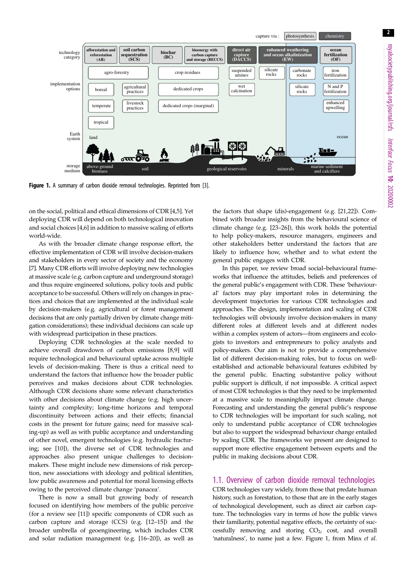

Figure 1. A summary of carbon dioxide removal technologies. Reprinted from [\[3](#page-11-0)].

on the social, political and ethical dimensions of CDR [[4,5\]](#page-11-0). Yet deploying CDR will depend on both technological innovation and social choices [\[4,6\]](#page-11-0) in addition to massive scaling of efforts world-wide.

As with the broader climate change response effort, the effective implementation of CDR will involve decision-makers and stakeholders in every sector of society and the economy [\[7\]](#page-11-0). Many CDR efforts will involve deploying new technologies at massive scale (e.g. carbon capture and underground storage) and thus require engineered solutions, policy tools and public acceptance to be successful. Others will rely on changes in practices and choices that are implemented at the individual scale by decision-makers (e.g. agricultural or forest management decisions that are only partially driven by climate change mitigation considerations); these individual decisions can scale up with widespread participation in these practices.

Deploying CDR technologies at the scale needed to achieve overall drawdown of carbon emissions [\[8](#page-11-0),[9](#page-11-0)] will require technological and behavioural uptake across multiple levels of decision-making. There is thus a critical need to understand the factors that influence how the broader public perceives and makes decisions about CDR technologies. Although CDR decisions share some relevant characteristics with other decisions about climate change (e.g. high uncertainty and complexity; long-time horizons and temporal discontinuity between actions and their effects; financial costs in the present for future gains; need for massive scaling-up) as well as with public acceptance and understanding of other novel, emergent technologies (e.g. hydraulic fracturing; see [[10\]](#page-11-0)), the diverse set of CDR technologies and approaches also present unique challenges to decisionmakers. These might include new dimensions of risk perception, new associations with ideology and political identities, low public awareness and potential for moral licensing effects owing to the perceived climate change 'panacea'.

There is now a small but growing body of research focused on identifying how members of the public perceive (for a review see [\[11\]](#page-11-0)) specific components of CDR such as carbon capture and storage (CCS) (e.g. [\[12](#page-11-0)–[15\]](#page-11-0)) and the broader umbrella of geoengineering, which includes CDR and solar radiation management (e.g. [\[16](#page-11-0)–[20\]](#page-11-0)), as well as

the factors that shape (dis)-engagement (e.g. [[21,22](#page-11-0)]). Combined with broader insights from the behavioural science of climate change (e.g. [\[23](#page-11-0)–[26\]](#page-11-0)), this work holds the potential to help policy-makers, resource managers, engineers and other stakeholders better understand the factors that are likely to influence how, whether and to what extent the general public engages with CDR.

In this paper, we review broad social–behavioural frameworks that influence the attitudes, beliefs and preferences of the general public's engagement with CDR. These 'behavioural' factors may play important roles in determining the development trajectories for various CDR technologies and approaches. The design, implementation and scaling of CDR technologies will obviously involve decision-makers in many different roles at different levels and at different nodes within a complex system of actors—from engineers and ecologists to investors and entrepreneurs to policy analysts and policy-makers. Our aim is not to provide a comprehensive list of different decision-making roles, but to focus on wellestablished and actionable behavioural features exhibited by the general public. Enacting substantive policy without public support is difficult, if not impossible. A critical aspect of most CDR technologies is that they need to be implemented at a massive scale to meaningfully impact climate change. Forecasting and understanding the general public's response to CDR technologies will be important for such scaling, not only to understand public acceptance of CDR technologies but also to support the widespread behaviour change entailed by scaling CDR. The frameworks we present are designed to support more effective engagement between experts and the public in making decisions about CDR.

### 1.1. Overview of carbon dioxide removal technologies

CDR technologies vary widely, from those that predate human history, such as forestation, to those that are in the early stages of technological development, such as direct air carbon capture. The technologies vary in terms of how the public views their familiarity, potential negative effects, the certainty of successfully removing and storing CO<sub>2</sub>, cost, and overall 'naturalness', to name just a few. Figure 1, from Minx et al.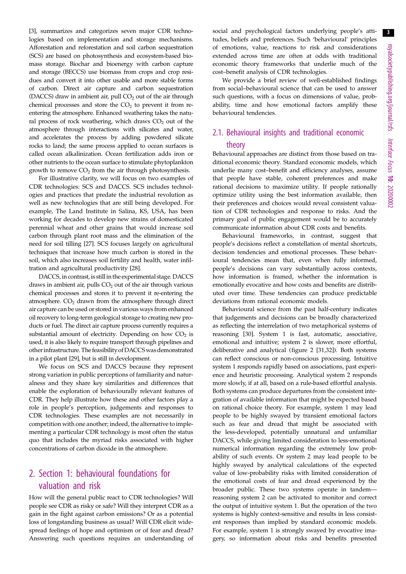[\[3\]](#page-11-0), summarizes and categorizes seven major CDR technologies based on implementation and storage mechanisms. Afforestation and reforestation and soil carbon sequestration (SCS) are based on photosynthesis and ecosystem-based biomass storage. Biochar and bioenergy with carbon capture and storage (BECCS) use biomass from crops and crop residues and convert it into other usable and more stable forms of carbon. Direct air capture and carbon sequestration (DACCS) draw in ambient air, pull  $CO<sub>2</sub>$  out of the air through chemical processes and store the  $CO<sub>2</sub>$  to prevent it from reentering the atmosphere. Enhanced weathering takes the natural process of rock weathering, which draws  $CO<sub>2</sub>$  out of the atmosphere through interactions with silicates and water, and accelerates the process by adding powdered silicate rocks to land; the same process applied to ocean surfaces is called ocean alkalinization. Ocean fertilization adds iron or other nutrients to the ocean surface to stimulate phytoplankton growth to remove  $CO<sub>2</sub>$  from the air through photosynthesis.

For illustrative clarity, we will focus on two examples of CDR technologies: SCS and DACCS. SCS includes technologies and practices that predate the industrial revolution as well as new technologies that are still being developed. For example, The Land Institute in Salina, KS, USA, has been working for decades to develop new strains of domesticated perennial wheat and other grains that would increase soil carbon through plant root mass and the elimination of the need for soil tilling [[27\]](#page-11-0). SCS focuses largely on agricultural techniques that increase how much carbon is stored in the soil, which also increases soil fertility and health, water infiltration and agricultural productivity [\[28](#page-11-0)].

DACCS, in contrast, is still in the experimental stage. DACCS draws in ambient air, pulls  $CO<sub>2</sub>$  out of the air through various chemical processes and stores it to prevent it re-entering the atmosphere.  $CO<sub>2</sub>$  drawn from the atmosphere through direct air capture can be used or stored in various ways from enhanced oil recovery to long-term geological storage to creating new products or fuel. The direct air capture process currently requires a substantial amount of electricity. Depending on how  $CO<sub>2</sub>$  is used, it is also likely to require transport through pipelines and otherinfrastructure. The feasibility ofDACCSwas demonstrated in a pilot plant [\[29](#page-11-0)], but is still in development.

We focus on SCS and DACCS because they represent strong variation in public perceptions of familiarity and naturalness and they share key similarities and differences that enable the exploration of behaviourally relevant features of CDR. They help illustrate how these and other factors play a role in people's perception, judgements and responses to CDR technologies. These examples are not necessarily in competition with one another; indeed, the alternative to implementing a particular CDR technology is most often the status quo that includes the myriad risks associated with higher concentrations of carbon dioxide in the atmosphere.

# 2. Section 1: behavioural foundations for valuation and risk

How will the general public react to CDR technologies? Will people see CDR as risky or safe? Will they interpret CDR as a gain in the fight against carbon emissions? Or as a potential loss of longstanding business as usual? Will CDR elicit widespread feelings of hope and optimism or of fear and dread? Answering such questions requires an understanding of social and psychological factors underlying people's attitudes, beliefs and preferences. Such 'behavioural' principles of emotions, value, reactions to risk and considerations extended across time are often at odds with traditional economic theory frameworks that underlie much of the cost–benefit analysis of CDR technologies.

We provide a brief review of well-established findings from social–behavioural science that can be used to answer such questions, with a focus on dimensions of value, probability, time and how emotional factors amplify these behavioural tendencies.

## 2.1. Behavioural insights and traditional economic theory

Behavioural approaches are distinct from those based on traditional economic theory. Standard economic models, which underlie many cost–benefit and efficiency analyses, assume that people have stable, coherent preferences and make rational decisions to maximize utility. If people rationally optimize utility using the best information available, then their preferences and choices would reveal consistent valuation of CDR technologies and response to risks. And the primary goal of public engagement would be to accurately communicate information about CDR costs and benefits.

Behavioural frameworks, in contrast, suggest that people's decisions reflect a constellation of mental shortcuts, decision tendencies and emotional processes. These behavioural tendencies mean that, even when fully informed, people's decisions can vary substantially across contexts, how information is framed, whether the information is emotionally evocative and how costs and benefits are distributed over time. These tendencies can produce predictable deviations from rational economic models.

Behavioural science from the past half-century indicates that judgements and decisions can be broadly characterized as reflecting the interrelation of two metaphorical systems of reasoning [\[30\]](#page-11-0). System 1 is fast, automatic, associative, emotional and intuitive; system 2 is slower, more effortful, deliberative and analytical ([figure 2](#page-3-0) [[31,32](#page-11-0)]). Both systems can reflect conscious or non-conscious processing. Intuitive system 1 responds rapidly based on associations, past experience and heuristic processing. Analytical system 2 responds more slowly, if at all, based on a rule-based effortful analysis. Both systems can produce departures from the consistent integration of available information that might be expected based on rational choice theory. For example, system 1 may lead people to be highly swayed by transient emotional factors such as fear and dread that might be associated with the less-developed, potentially unnatural and unfamiliar DACCS, while giving limited consideration to less-emotional numerical information regarding the extremely low probability of such events. Or system 2 may lead people to be highly swayed by analytical calculations of the expected value of low-probability risks with limited consideration of the emotional costs of fear and dread experienced by the broader public. These two systems operate in tandem reasoning system 2 can be activated to monitor and correct the output of intuitive system 1. But the operation of the two systems is highly context-sensitive and results in less consistent responses than implied by standard economic models. For example, system 1 is strongly swayed by evocative imagery, so information about risks and benefits presented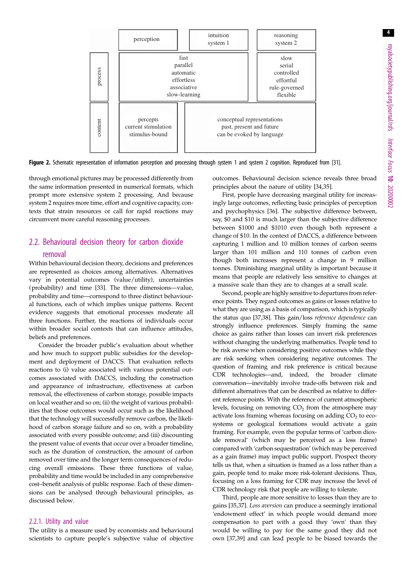<span id="page-3-0"></span>

Figure 2. Schematic representation of information perception and processing through system 1 and system 2 cognition. Reproduced from [\[31\]](#page-11-0).

through emotional pictures may be processed differently from the same information presented in numerical formats, which prompt more extensive system 2 processing. And because system 2 requires more time, effort and cognitive capacity, contexts that strain resources or call for rapid reactions may circumvent more careful reasoning processes.

# 2.2. Behavioural decision theory for carbon dioxide removal

Within behavioural decision theory, decisions and preferences are represented as choices among alternatives. Alternatives vary in potential outcomes (value/utility), uncertainties (probability) and time [\[33](#page-11-0)]. The three dimensions—value, probability and time—correspond to three distinct behavioural functions, each of which implies unique patterns. Recent evidence suggests that emotional processes moderate all three functions. Further, the reactions of individuals occur within broader social contexts that can influence attitudes, beliefs and preferences.

Consider the broader public's evaluation about whether and how much to support public subsidies for the development and deployment of DACCS. That evaluation reflects reactions to (i) value associated with various potential outcomes associated with DACCS, including the construction and appearance of infrastructure, effectiveness at carbon removal, the effectiveness of carbon storage, possible impacts on local weather and so on; (ii) the weight of various probabilities that those outcomes would occur such as the likelihood that the technology will successfully remove carbon, the likelihood of carbon storage failure and so on, with a probability associated with every possible outcome; and (iii) discounting the present value of events that occur over a broader timeline, such as the duration of construction, the amount of carbon removed over time and the longer term consequences of reducing overall emissions. These three functions of value, probability and time would be included in any comprehensive cost–benefit analysis of public response. Each of these dimensions can be analysed through behavioural principles, as discussed below.

#### 2.2.1. Utility and value

The utility is a measure used by economists and behavioural scientists to capture people's subjective value of objective outcomes. Behavioural decision science reveals three broad principles about the nature of utility [\[34,35](#page-11-0)].

First, people have decreasing marginal utility for increasingly large outcomes, reflecting basic principles of perception and psychophysics [[36\]](#page-11-0). The subjective difference between, say, \$0 and \$10 is much larger than the subjective difference between \$1000 and \$1010 even though both represent a change of \$10. In the context of DACCS, a difference between capturing 1 million and 10 million tonnes of carbon seems larger than 101 million and 110 tonnes of carbon even though both increases represent a change in 9 million tonnes. Diminishing marginal utility is important because it means that people are relatively less sensitive to changes at a massive scale than they are to changes at a small scale.

Second, people are highly sensitive to departures from reference points. They regard outcomes as gains or losses relative to what they are using as a basis of comparison, which is typically the status quo [[37,38\]](#page-11-0). This gain/loss reference dependence can strongly influence preferences. Simply framing the same choice as gains rather than losses can invert risk preferences without changing the underlying mathematics. People tend to be risk averse when considering positive outcomes while they are risk seeking when considering negative outcomes. The question of framing and risk preference is critical because CDR technologies—and, indeed, the broader climate conversation—inevitably involve trade-offs between risk and different alternatives that can be described as relative to different reference points. With the reference of current atmospheric levels, focusing on removing  $CO<sub>2</sub>$  from the atmosphere may activate loss framing whereas focusing on adding  $CO<sub>2</sub>$  to ecosystems or geological formations would activate a gain framing. For example, even the popular terms of 'carbon dioxide removal' (which may be perceived as a loss frame) compared with 'carbon sequestration' (which may be perceived as a gain frame) may impact public support. Prospect theory tells us that, when a situation is framed as a loss rather than a gain, people tend to make more risk-tolerant decisions. Thus, focusing on a loss framing for CDR may increase the level of CDR technology risk that people are willing to tolerate.

Third, people are more sensitive to losses than they are to gains [\[35,37](#page-11-0)]. Loss aversion can produce a seemingly irrational 'endowment effect' in which people would demand more compensation to part with a good they 'own' than they would be willing to pay for the same good they did not own [[37,39](#page-11-0)] and can lead people to be biased towards the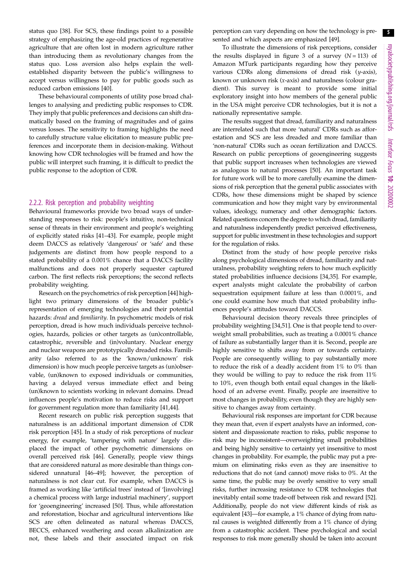status quo [[38\]](#page-11-0). For SCS, these findings point to a possible strategy of emphasizing the age-old practices of regenerative agriculture that are often lost in modern agriculture rather than introducing them as revolutionary changes from the status quo. Loss aversion also helps explain the wellestablished disparity between the public's willingness to accept versus willingness to pay for public goods such as reduced carbon emissions [[40\]](#page-11-0).

These behavioural components of utility pose broad challenges to analysing and predicting public responses to CDR. They imply that public preferences and decisions can shift dramatically based on the framing of magnitudes and of gains versus losses. The sensitivity to framing highlights the need to carefully structure value elicitation to measure public preferences and incorporate them in decision-making. Without knowing how CDR technologies will be framed and how the public will interpret such framing, it is difficult to predict the public response to the adoption of CDR.

#### 2.2.2. Risk perception and probability weighting

Behavioural frameworks provide two broad ways of understanding responses to risk: people's intuitive, non-technical sense of threats in their environment and people's weighting of explicitly stated risks [\[41](#page-11-0)–[43\]](#page-11-0). For example, people might deem DACCS as relatively 'dangerous' or 'safe' and these judgements are distinct from how people respond to a stated probability of a 0.001% chance that a DACCS facility malfunctions and does not properly sequester captured carbon. The first reflects risk perceptions; the second reflects probability weighting.

Research on the psychometrics of risk perception [\[44](#page-11-0)] highlight two primary dimensions of the broader public's representation of emerging technologies and their potential hazards: dread and familiarity. In psychometric models of risk perception, dread is how much individuals perceive technologies, hazards, policies or other targets as (un)controllable, catastrophic, reversible and (in)voluntary. Nuclear energy and nuclear weapons are prototypically dreaded risks. Familiarity (also referred to as the 'known/unknown' risk dimension) is how much people perceive targets as (un)observable, (un)known to exposed individuals or communities, having a delayed versus immediate effect and being (un)known to scientists working in relevant domains. Dread influences people's motivation to reduce risks and support for government regulation more than familiarity [[41,44](#page-11-0)].

Recent research on public risk perception suggests that naturalness is an additional important dimension of CDR risk perception [\[45](#page-12-0)]. In a study of risk perceptions of nuclear energy, for example, 'tampering with nature' largely displaced the impact of other psychometric dimensions on overall perceived risk [[46\]](#page-12-0). Generally, people view things that are considered natural as more desirable than things considered unnatural [\[46](#page-12-0)–[49\]](#page-12-0); however, the perception of naturalness is not clear cut. For example, when DACCS is framed as working like 'artificial trees' instead of '[involving] a chemical process with large industrial machinery', support for 'geoengineering' increased [[50\]](#page-12-0). Thus, while afforestation and reforestation, biochar and agricultural interventions like SCS are often delineated as natural whereas DACCS, BECCS, enhanced weathering and ocean alkalinization are not, these labels and their associated impact on risk perception can vary depending on how the technology is presented and which aspects are emphasized [[49\]](#page-12-0).

To illustrate the dimensions of risk perceptions, consider the results displayed in [figure 3](#page-5-0) of a survey  $(N = 113)$  of Amazon MTurk participants regarding how they perceive various CDRs along dimensions of dread risk (y-axis), known or unknown risk (x-axis) and naturalness (colour gradient). This survey is meant to provide some initial exploratory insight into how members of the general public in the USA might perceive CDR technologies, but it is not a nationally representative sample.

The results suggest that dread, familiarity and naturalness are interrelated such that more 'natural' CDRs such as afforestation and SCS are less dreaded and more familiar than 'non-natural' CDRs such as ocean fertilization and DACCS. Research on public perceptions of geoengineering suggests that public support increases when technologies are viewed as analogous to natural processes [[50\]](#page-12-0). An important task for future work will be to more carefully examine the dimensions of risk perception that the general public associates with CDRs, how these dimensions might be shaped by science communication and how they might vary by environmental values, ideology, numeracy and other demographic factors. Related questions concern the degree to which dread, familiarity and naturalness independently predict perceived effectiveness, support for public investment in these technologies and support for the regulation of risks.

Distinct from the study of how people perceive risks along psychological dimensions of dread, familiarity and naturalness, probability weighting refers to how much explicitly stated probabilities influence decisions [\[34](#page-11-0),[35\]](#page-11-0). For example, expert analysts might calculate the probability of carbon sequestration equipment failure at less than 0.0001%, and one could examine how much that stated probability influences people's attitudes toward DACCS.

Behavioural decision theory reveals three principles of probability weighting [\[34](#page-11-0)[,51](#page-12-0)]. One is that people tend to overweight small probabilities, such as treating a 0.0001% chance of failure as substantially larger than it is. Second, people are highly sensitive to shifts away from or towards certainty. People are consequently willing to pay substantially more to reduce the risk of a deadly accident from 1% to 0% than they would be willing to pay to reduce the risk from 11% to 10%, even though both entail equal changes in the likelihood of an adverse event. Finally, people are insensitive to most changes in probability, even though they are highly sensitive to changes away from certainty.

Behavioural risk responses are important for CDR because they mean that, even if expert analysts have an informed, consistent and dispassionate reaction to risks, public response to risk may be inconsistent—overweighting small probabilities and being highly sensitive to certainty yet insensitive to most changes in probability. For example, the public may put a premium on eliminating risks even as they are insensitive to reductions that do not (and cannot) move risks to 0%. At the same time, the public may be overly sensitive to very small risks, further increasing resistance to CDR technologies that inevitably entail some trade-off between risk and reward [[52\]](#page-12-0). Additionally, people do not view different kinds of risk as equivalent [[43\]](#page-11-0)—for example, a 1% chance of dying from natural causes is weighted differently from a 1% chance of dying from a catastrophic accident. These psychological and social responses to risk more generally should be taken into account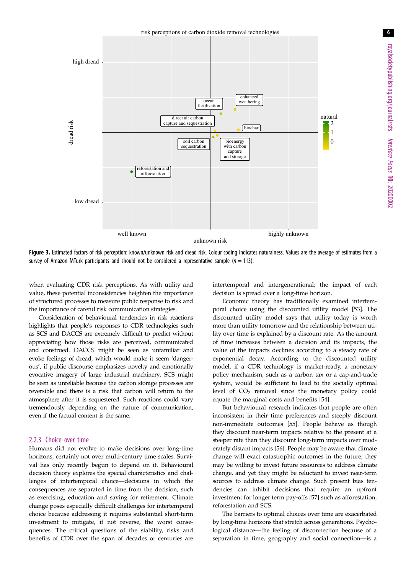

<span id="page-5-0"></span>

Figure 3. Estimated factors of risk perception: known/unknown risk and dread risk. Colour coding indicates naturalness. Values are the average of estimates from a survey of Amazon MTurk participants and should not be considered a representative sample ( $n = 113$ ).

when evaluating CDR risk perceptions. As with utility and value, these potential inconsistencies heighten the importance of structured processes to measure public response to risk and the importance of careful risk communication strategies.

Consideration of behavioural tendencies in risk reactions highlights that people's responses to CDR technologies such as SCS and DACCS are extremely difficult to predict without appreciating how those risks are perceived, communicated and construed. DACCS might be seen as unfamiliar and evoke feelings of dread, which would make it seem 'dangerous', if public discourse emphasizes novelty and emotionally evocative imagery of large industrial machinery. SCS might be seen as unreliable because the carbon storage processes are reversible and there is a risk that carbon will return to the atmosphere after it is sequestered. Such reactions could vary tremendously depending on the nature of communication, even if the factual content is the same.

#### 2.2.3. Choice over time

Humans did not evolve to make decisions over long-time horizons, certainly not over multi-century time scales. Survival has only recently begun to depend on it. Behavioural decision theory explores the special characteristics and challenges of intertemporal choice—decisions in which the consequences are separated in time from the decision, such as exercising, education and saving for retirement. Climate change poses especially difficult challenges for intertemporal choice because addressing it requires substantial short-term investment to mitigate, if not reverse, the worst consequences. The critical questions of the stability, risks and benefits of CDR over the span of decades or centuries are

intertemporal and intergenerational; the impact of each decision is spread over a long-time horizon.

Economic theory has traditionally examined intertemporal choice using the discounted utility model [\[53](#page-12-0)]. The discounted utility model says that utility today is worth more than utility tomorrow and the relationship between utility over time is explained by a discount rate. As the amount of time increases between a decision and its impacts, the value of the impacts declines according to a steady rate of exponential decay. According to the discounted utility model, if a CDR technology is market-ready, a monetary policy mechanism, such as a carbon tax or a cap-and-trade system, would be sufficient to lead to the socially optimal level of CO<sub>2</sub> removal since the monetary policy could equate the marginal costs and benefits [\[54](#page-12-0)].

But behavioural research indicates that people are often inconsistent in their time preferences and steeply discount non-immediate outcomes [\[55](#page-12-0)]. People behave as though they discount near-term impacts relative to the present at a steeper rate than they discount long-term impacts over moderately distant impacts [\[56](#page-12-0)]. People may be aware that climate change will exact catastrophic outcomes in the future; they may be willing to invest future resources to address climate change, and yet they might be reluctant to invest near-term sources to address climate change. Such present bias tendencies can inhibit decisions that require an upfront investment for longer term pay-offs [[57\]](#page-12-0) such as afforestation, reforestation and SCS.

The barriers to optimal choices over time are exacerbated by long-time horizons that stretch across generations. Psychological distance––the feeling of disconnection because of a separation in time, geography and social connection--is a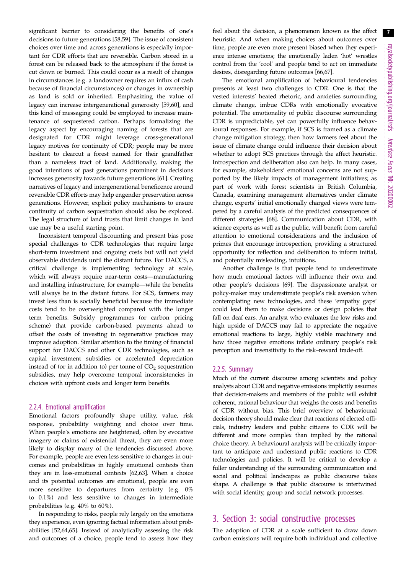significant barrier to considering the benefits of one's decisions to future generations [[58,59\]](#page-12-0). The issue of consistent choices over time and across generations is especially important for CDR efforts that are reversible. Carbon stored in a forest can be released back to the atmosphere if the forest is cut down or burned. This could occur as a result of changes in circumstances (e.g. a landowner requires an influx of cash because of financial circumstances) or changes in ownership as land is sold or inherited. Emphasizing the value of legacy can increase intergenerational generosity [[59,60\]](#page-12-0), and this kind of messaging could be employed to increase maintenance of sequestered carbon. Perhaps formalizing the legacy aspect by encouraging naming of forests that are designated for CDR might leverage cross-generational legacy motives for continuity of CDR; people may be more hesitant to clearcut a forest named for their grandfather than a nameless tract of land. Additionally, making the good intentions of past generations prominent in decisions increases generosity towards future generations [\[61](#page-12-0)]. Creating narratives of legacy and intergenerational beneficence around reversible CDR efforts may help engender preservation across generations. However, explicit policy mechanisms to ensure continuity of carbon sequestration should also be explored. The legal structure of land trusts that limit changes in land use may be a useful starting point.

Inconsistent temporal discounting and present bias pose special challenges to CDR technologies that require large short-term investment and ongoing costs but will not yield observable dividends until the distant future. For DACCS, a critical challenge is implementing technology at scale, which will always require near-term costs—manufacturing and installing infrastructure, for example—while the benefits will always be in the distant future. For SCS, farmers may invest less than is socially beneficial because the immediate costs tend to be overweighted compared with the longer term benefits. Subsidy programmes (or carbon pricing scheme) that provide carbon-based payments ahead to offset the costs of investing in regenerative practices may improve adoption. Similar attention to the timing of financial support for DACCS and other CDR technologies, such as capital investment subsidies or accelerated depreciation instead of (or in addition to) per tonne of  $CO<sub>2</sub>$  sequestration subsidies, may help overcome temporal inconsistencies in choices with upfront costs and longer term benefits.

#### 2.2.4. Emotional amplification

Emotional factors profoundly shape utility, value, risk response, probability weighting and choice over time. When people's emotions are heightened, often by evocative imagery or claims of existential threat, they are even more likely to display many of the tendencies discussed above. For example, people are even less sensitive to changes in outcomes and probabilities in highly emotional contexts than they are in less-emotional contexts [[62](#page-12-0),[63\]](#page-12-0). When a choice and its potential outcomes are emotional, people are even more sensitive to departures from certainty (e.g. 0% to 0.1%) and less sensitive to changes in intermediate probabilities (e.g. 40% to 60%).

In responding to risks, people rely largely on the emotions they experience, even ignoring factual information about probabilities [\[52,64,65](#page-12-0)]. Instead of analytically assessing the risk and outcomes of a choice, people tend to assess how they feel about the decision, a phenomenon known as the affect heuristic. And when making choices about outcomes over time, people are even more present biased when they experience intense emotions; the emotionally laden 'hot' wrestles control from the 'cool' and people tend to act on immediate desires, disregarding future outcomes [\[66,67\]](#page-12-0).

The emotional amplification of behavioural tendencies presents at least two challenges to CDR. One is that the vested interests' heated rhetoric, and anxieties surrounding climate change, imbue CDRs with emotionally evocative potential. The emotionality of public discourse surrounding CDR is unpredictable, yet can powerfully influence behavioural responses. For example, if SCS is framed as a climate change mitigation strategy, then how farmers feel about the issue of climate change could influence their decision about whether to adopt SCS practices through the affect heuristic. Introspection and deliberation also can help. In many cases, for example, stakeholders' emotional concerns are not supported by the likely impacts of management initiatives; as part of work with forest scientists in British Columbia, Canada, examining management alternatives under climate change, experts' initial emotionally charged views were tempered by a careful analysis of the predicted consequences of different strategies [\[68](#page-12-0)]. Communication about CDR, with science experts as well as the public, will benefit from careful attention to emotional considerations and the inclusion of primes that encourage introspection, providing a structured opportunity for reflection and deliberation to inform initial, and potentially misleading, intuitions.

Another challenge is that people tend to underestimate how much emotional factors will influence their own and other people's decisions [\[69\]](#page-12-0). The dispassionate analyst or policy-maker may underestimate people's risk aversion when contemplating new technologies, and these 'empathy gaps' could lead them to make decisions or design policies that fall on deaf ears. An analyst who evaluates the low risks and high upside of DACCS may fail to appreciate the negative emotional reactions to large, highly visible machinery and how those negative emotions inflate ordinary people's risk perception and insensitivity to the risk–reward trade-off.

#### 2.2.5. Summary

Much of the current discourse among scientists and policy analysts about CDR and negative emissions implicitly assumes that decision-makers and members of the public will exhibit coherent, rational behaviour that weighs the costs and benefits of CDR without bias. This brief overview of behavioural decision theory should make clear that reactions of elected officials, industry leaders and public citizens to CDR will be different and more complex than implied by the rational choice theory. A behavioural analysis will be critically important to anticipate and understand public reactions to CDR technologies and policies. It will be critical to develop a fuller understanding of the surrounding communication and social and political landscapes as public discourse takes shape. A challenge is that public discourse is intertwined with social identity, group and social network processes.

## 3. Section 3: social constructive processes

The adoption of CDR at a scale sufficient to draw down carbon emissions will require both individual and collective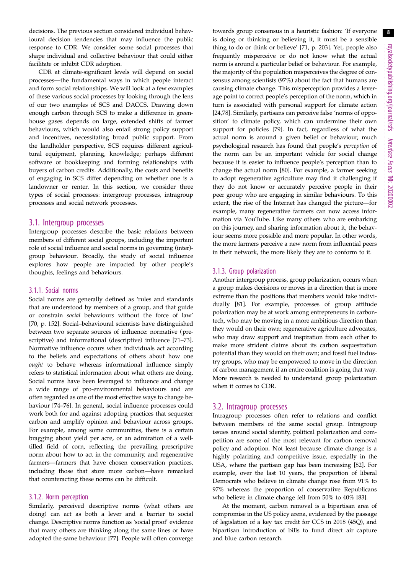Focus

10: 202000022

decisions. The previous section considered individual behavioural decision tendencies that may influence the public response to CDR. We consider some social processes that shape individual and collective behaviour that could either facilitate or inhibit CDR adoption.

CDR at climate-significant levels will depend on social processes––the fundamental ways in which people interact and form social relationships. We will look at a few examples of these various social processes by looking through the lens of our two examples of SCS and DACCS. Drawing down enough carbon through SCS to make a difference in greenhouse gases depends on large, extended shifts of farmer behaviours, which would also entail strong policy support and incentives, necessitating broad public support. From the landholder perspective, SCS requires different agricultural equipment, planning, knowledge; perhaps different software or bookkeeping and forming relationships with buyers of carbon credits. Additionally, the costs and benefits of engaging in SCS differ depending on whether one is a landowner or renter. In this section, we consider three types of social processes: intergroup processes, intragroup processes and social network processes.

### 3.1. Intergroup processes

Intergroup processes describe the basic relations between members of different social groups, including the important role of social influence and social norms in governing (inter) group behaviour. Broadly, the study of social influence explores how people are impacted by other people's thoughts, feelings and behaviours.

#### 3.1.1. Social norms

Social norms are generally defined as 'rules and standards that are understood by members of a group, and that guide or constrain social behaviours without the force of law' [\[70](#page-12-0), p. 152]. Social–behavioural scientists have distinguished between two separate sources of influence: normative (prescriptive) and informational (descriptive) influence [[71](#page-12-0)–[73](#page-12-0)]. Normative influence occurs when individuals act according to the beliefs and expectations of others about how one ought to behave whereas informational influence simply refers to statistical information about what others are doing. Social norms have been leveraged to influence and change a wide range of pro-environmental behaviours and are often regarded as one of the most effective ways to change behaviour [\[74](#page-12-0)–[76\]](#page-12-0). In general, social influence processes could work both for and against adopting practices that sequester carbon and amplify opinion and behaviour across groups. For example, among some communities, there is a certain bragging about yield per acre, or an admiration of a welltilled field of corn, reflecting the prevailing prescriptive norm about how to act in the community, and regenerative farmers—farmers that have chosen conservation practices, including those that store more carbon—have remarked that counteracting these norms can be difficult.

#### 3.1.2. Norm perception

Similarly, perceived descriptive norms (what others are doing) can act as both a lever and a barrier to social change. Descriptive norms function as 'social proof' evidence that many others are thinking along the same lines or have adopted the same behaviour [[77](#page-12-0)]. People will often converge towards group consensus in a heuristic fashion: 'If everyone is doing or thinking or believing it, it must be a sensible thing to do or think or believe' [\[71](#page-12-0), p. 203]. Yet, people also frequently misperceive or do not know what the actual norm is around a particular belief or behaviour. For example, the majority of the population misperceives the degree of consensus among scientists (97%) about the fact that humans are causing climate change. This misperception provides a leverage point to correct people's perception of the norm, which in turn is associated with personal support for climate action [[24,](#page-11-0)[78\]](#page-12-0). Similarly, partisans can perceive false 'norms of opposition' to climate policy, which can undermine their own support for policies [\[79](#page-12-0)]. In fact, regardless of what the actual norm is around a given belief or behaviour, much psychological research has found that people's perception of the norm can be an important vehicle for social change because it is easier to influence people's perception than to change the actual norm [\[80](#page-12-0)]. For example, a farmer seeking to adopt regenerative agriculture may find it challenging if they do not know or accurately perceive people in their peer group who are engaging in similar behaviours. To this extent, the rise of the Internet has changed the picture—for example, many regenerative farmers can now access information via YouTube. Like many others who are embarking on this journey, and sharing information about it, the behaviour seems more possible and more popular. In other words, the more farmers perceive a new norm from influential peers in their network, the more likely they are to conform to it.

#### 3.1.3. Group polarization

Another intergroup process, group polarization, occurs when a group makes decisions or moves in a direction that is more extreme than the positions that members would take individually [\[81](#page-12-0)]. For example, processes of group attitude polarization may be at work among entrepreneurs in carbontech, who may be moving in a more ambitious direction than they would on their own; regenerative agriculture advocates, who may draw support and inspiration from each other to make more strident claims about its carbon sequestration potential than they would on their own; and fossil fuel industry groups, who may be empowered to move in the direction of carbon management if an entire coalition is going that way. More research is needed to understand group polarization when it comes to CDR.

#### 3.2. Intragroup processes

Intragroup processes often refer to relations and conflict between members of the same social group. Intragroup issues around social identity, political polarization and competition are some of the most relevant for carbon removal policy and adoption. Not least because climate change is a highly polarizing and competitive issue, especially in the USA, where the partisan gap has been increasing [[82\]](#page-12-0). For example, over the last 10 years, the proportion of liberal Democrats who believe in climate change rose from 91% to 97% whereas the proportion of conservative Republicans who believe in climate change fell from 50% to 40% [\[83\]](#page-12-0).

At the moment, carbon removal is a bipartisan area of compromise in the US policy arena, evidenced by the passage of legislation of a key tax credit for CCS in 2018 (45Q), and bipartisan introduction of bills to fund direct air capture and blue carbon research.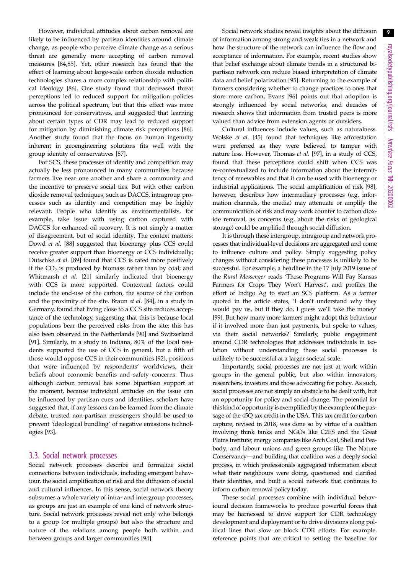However, individual attitudes about carbon removal are likely to be influenced by partisan identities around climate change, as people who perceive climate change as a serious threat are generally more accepting of carbon removal measures [[84,85\]](#page-12-0). Yet, other research has found that the effect of learning about large-scale carbon dioxide reduction technologies shares a more complex relationship with political ideology [[86\]](#page-12-0). One study found that decreased threat perceptions led to reduced support for mitigation policies across the political spectrum, but that this effect was more pronounced for conservatives, and suggested that learning about certain types of CDR may lead to reduced support for mitigation by diminishing climate risk perceptions [\[86](#page-12-0)]. Another study found that the focus on human ingenuity inherent in geoengineering solutions fits well with the group identity of conservatives [\[87](#page-12-0)].

For SCS, these processes of identity and competition may actually be less pronounced in many communities because farmers live near one another and share a community and the incentive to preserve social ties. But with other carbon dioxide removal techniques, such as DACCS, intragroup processes such as identity and competition may be highly relevant. People who identify as environmentalists, for example, take issue with using carbon captured with DACCS for enhanced oil recovery. It is not simply a matter of disagreement, but of social identity. The context matters: Dowd et al. [\[88](#page-12-0)] suggested that bioenergy plus CCS could receive greater support than bioenergy or CCS individually; Dütschke et al. [\[89](#page-12-0)] found that CCS is rated more positively if the  $CO<sub>2</sub>$  is produced by biomass rather than by coal; and Whitmarsh et al. [\[21](#page-11-0)] similarly indicated that bioenergy with CCS is more supported. Contextual factors could include the end-use of the carbon, the source of the carbon and the proximity of the site. Braun et al. [[84](#page-12-0)], in a study in Germany, found that living close to a CCS site reduces acceptance of the technology, suggesting that this is because local populations bear the perceived risks from the site; this has also been observed in the Netherlands [[90\]](#page-12-0) and Switzerland [\[91](#page-12-0)]. Similarly, in a study in Indiana, 80% of the local residents supported the use of CCS in general, but a fifth of those would oppose CCS in their communities [\[92](#page-13-0)], positions that were influenced by respondents' worldviews, their beliefs about economic benefits and safety concerns. Thus although carbon removal has some bipartisan support at the moment, because individual attitudes on the issue can be influenced by partisan cues and identities, scholars have suggested that, if any lessons can be learned from the climate debate, trusted non-partisan messengers should be used to prevent 'ideological bundling' of negative emissions technologies [[93\]](#page-13-0).

#### 3.3. Social network processes

Social network processes describe and formalize social connections between individuals, including emergent behaviour, the social amplification of risk and the diffusion of social and cultural influences. In this sense, social network theory subsumes a whole variety of intra- and intergroup processes, as groups are just an example of one kind of network structure. Social network processes reveal not only who belongs to a group (or multiple groups) but also the structure and nature of the relations among people both within and between groups and larger communities [[94\]](#page-13-0).

Social network studies reveal insights about the diffusion of information among strong and weak ties in a network and how the structure of the network can influence the flow and acceptance of information. For example, recent studies show that belief exchange about climate trends in a structured bipartisan network can reduce biased interpretation of climate data and belief polarization [[95\]](#page-13-0). Returning to the example of farmers considering whether to change practices to ones that store more carbon, Evans [\[96](#page-13-0)] points out that adoption is strongly influenced by social networks, and decades of research shows that information from trusted peers is more valued than advice from extension agents or outsiders.

Cultural influences include values, such as naturalness. Wolske et al. [\[45](#page-12-0)] found that techniques like afforestation were preferred as they were believed to tamper with nature less. However, Thomas et al. [\[97](#page-13-0)], in a study of CCS, found that these perceptions could shift when CCS was re-contextualized to include information about the intermittency of renewables and that it can be used with bioenergy or industrial applications. The social amplification of risk [[98\]](#page-13-0), however, describes how intermediary processes (e.g. information channels, the media) may attenuate or amplify the communication of risk and may work counter to carbon dioxide removal, as concerns (e.g. about the risks of geological storage) could be amplified through social diffusion.

It is through these intergroup, intragroup and network processes that individual-level decisions are aggregated and come to influence culture and policy. Simply suggesting policy changes without considering these processes is unlikely to be successful. For example, a headline in the 17 July 2019 issue of the Rural Messenger reads 'These Programs Will Pay Kansas Farmers for Crops They Won't Harvest', and profiles the effort of Indigo Ag to start an SCS platform. As a farmer quoted in the article states, 'I don't understand why they would pay us, but if they do, I guess we'll take the money' [[99](#page-13-0)]. But how many more farmers might adopt this behaviour if it involved more than just payments, but spoke to values, via their social networks? Similarly, public engagement around CDR technologies that addresses individuals in isolation without understanding these social processes is unlikely to be successful at a larger societal scale.

Importantly, social processes are not just at work within groups in the general public, but also within innovators, researchers, investors and those advocating for policy. As such, social processes are not simply an obstacle to be dealt with, but an opportunity for policy and social change. The potential for this kind of opportunity is exemplified by the example of the passage of the 45Q tax credit in the USA. This tax credit for carbon capture, revised in 2018, was done so by virtue of a coalition involving think tanks and NGOs like C2ES and the Great Plains Institute; energy companies like Arch Coal, Shell and Peabody; and labour unions and green groups like The Nature Conservancy—and building that coalition was a deeply social process, in which professionals aggregated information about what their neighbours were doing, questioned and clarified their identities, and built a social network that continues to inform carbon removal policy today.

These social processes combine with individual behavioural decision frameworks to produce powerful forces that may be harnessed to drive support for CDR technology development and deployment or to drive divisions along political lines that slow or block CDR efforts. For example, reference points that are critical to setting the baseline for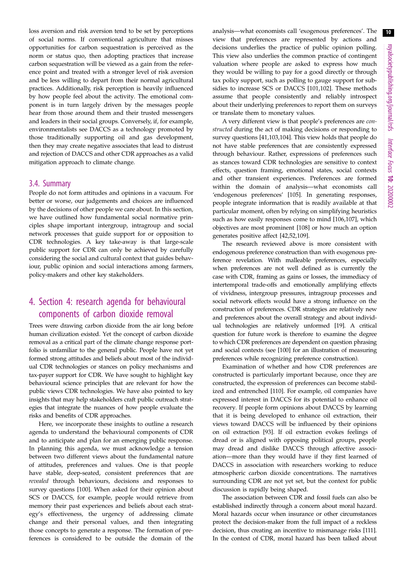loss aversion and risk aversion tend to be set by perceptions of social norms. If conventional agriculture that misses opportunities for carbon sequestration is perceived as the norm or status quo, then adopting practices that increase carbon sequestration will be viewed as a gain from the reference point and treated with a stronger level of risk aversion and be less willing to depart from their normal agricultural practices. Additionally, risk perception is heavily influenced by how people feel about the activity. The emotional component is in turn largely driven by the messages people hear from those around them and their trusted messengers and leaders in their social groups. Conversely, if, for example, environmentalists see DACCS as a technology promoted by those traditionally supporting oil and gas development, then they may create negative associates that lead to distrust and rejection of DACCS and other CDR approaches as a valid mitigation approach to climate change.

#### 3.4. Summary

People do not form attitudes and opinions in a vacuum. For better or worse, our judgements and choices are influenced by the decisions of other people we care about. In this section, we have outlined how fundamental social normative principles shape important intergroup, intragroup and social network processes that guide support for or opposition to CDR technologies. A key take-away is that large-scale public support for CDR can only be achieved by carefully considering the social and cultural context that guides behaviour, public opinion and social interactions among farmers, policy-makers and other key stakeholders.

# 4. Section 4: research agenda for behavioural components of carbon dioxide removal

Trees were drawing carbon dioxide from the air long before human civilization existed. Yet the concept of carbon dioxide removal as a critical part of the climate change response portfolio is unfamiliar to the general public. People have not yet formed strong attitudes and beliefs about most of the individual CDR technologies or stances on policy mechanisms and tax-payer support for CDR. We have sought to highlight key behavioural science principles that are relevant for how the public views CDR technologies. We have also pointed to key insights that may help stakeholders craft public outreach strategies that integrate the nuances of how people evaluate the risks and benefits of CDR approaches.

Here, we incorporate these insights to outline a research agenda to understand the behavioural components of CDR and to anticipate and plan for an emerging public response. In planning this agenda, we must acknowledge a tension between two different views about the fundamental nature of attitudes, preferences and values. One is that people have stable, deep-seated, consistent preferences that are revealed through behaviours, decisions and responses to survey questions [[100](#page-13-0)]. When asked for their opinion about SCS or DACCS, for example, people would retrieve from memory their past experiences and beliefs about each strategy's effectiveness, the urgency of addressing climate change and their personal values, and then integrating those concepts to generate a response. The formation of preferences is considered to be outside the domain of the analysis—what economists call 'exogenous preferences'. The view that preferences are represented by actions and decisions underlies the practice of public opinion polling. This view also underlies the common practice of contingent valuation where people are asked to express how much they would be willing to pay for a good directly or through tax policy support, such as polling to gauge support for subsidies to increase SCS or DACCS [[101](#page-13-0),[102](#page-13-0)]. These methods assume that people consistently and reliably introspect about their underlying preferences to report them on surveys or translate them to monetary values.

A very different view is that people's preferences are constructed during the act of making decisions or responding to survey questions [\[41](#page-11-0)[,103,104\]](#page-13-0). This view holds that people do not have stable preferences that are consistently expressed through behaviour. Rather, expressions of preferences such as stances toward CDR technologies are sensitive to context effects, question framing, emotional states, social contexts and other transient experiences. Preferences are formed within the domain of analysis—what economists call 'endogenous preferences' [[105](#page-13-0)]. In generating responses, people integrate information that is readily available at that particular moment, often by relying on simplifying heuristics such as how easily responses come to mind [\[106,107](#page-13-0)], which objectives are most prominent [\[108\]](#page-13-0) or how much an option generates positive affect [\[42](#page-11-0),[52](#page-12-0),[109](#page-13-0)].

The research reviewed above is more consistent with endogenous preference construction than with exogenous preference revelation. With malleable preferences, especially when preferences are not well defined as is currently the case with CDR, framing as gains or losses, the immediacy of intertemporal trade-offs and emotionally amplifying effects of vividness, intergroup pressures, intragroup processes and social network effects would have a strong influence on the construction of preferences. CDR strategies are relatively new and preferences about the overall strategy and about individual technologies are relatively unformed [\[19](#page-11-0)]. A critical question for future work is therefore to examine the degree to which CDR preferences are dependent on question phrasing and social contexts (see [\[100](#page-13-0)] for an illustration of measuring preferences while recognizing preference construction).

Examination of whether and how CDR preferences are constructed is particularly important because, once they are constructed, the expression of preferences can become stabilized and entrenched [[110\]](#page-13-0). For example, oil companies have expressed interest in DACCS for its potential to enhance oil recovery. If people form opinions about DACCS by learning that it is being developed to enhance oil extraction, their views toward DACCS will be influenced by their opinions on oil extraction [[93\]](#page-13-0). If oil extraction evokes feelings of dread or is aligned with opposing political groups, people may dread and dislike DACCS through affective association—more than they would have if they first learned of DACCS in association with researchers working to reduce atmospheric carbon dioxide concentrations. The narratives surrounding CDR are not yet set, but the context for public discussion is rapidly being shaped.

The association between CDR and fossil fuels can also be established indirectly through a concern about moral hazard. Moral hazards occur when insurance or other circumstances protect the decision-maker from the full impact of a reckless decision, thus creating an incentive to mismanage risks [\[111\]](#page-13-0). In the context of CDR, moral hazard has been talked about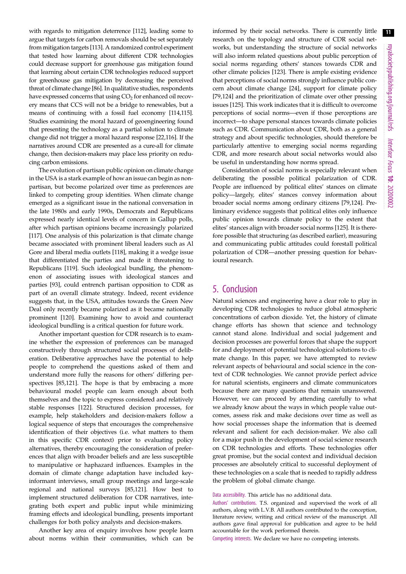with regards to mitigation deterrence [[112\]](#page-13-0), leading some to argue that targets for carbon removals should be set separately from mitigation targets [[113\]](#page-13-0). A randomized control experiment that tested how learning about different CDR technologies could decrease support for greenhouse gas mitigation found that learning about certain CDR technologies reduced support for greenhouse gas mitigation by decreasing the perceived threat of climate change [\[86](#page-12-0)]. In qualitative studies, respondents have expressed concerns that using  $CO<sub>2</sub>$  for enhanced oil recovery means that CCS will not be a bridge to renewables, but a means of continuing with a fossil fuel economy [[114,115](#page-13-0)]. Studies examining the moral hazard of geoengineering found that presenting the technology as a partial solution to climate change did not trigger a moral hazard response [\[22,](#page-11-0)[116\]](#page-13-0). If the narratives around CDR are presented as a cure-all for climate change, then decision-makers may place less priority on reducing carbon emissions.

The evolution of partisan public opinion on climate change in the USA is a stark example of how an issue can begin as nonpartisan, but become polarized over time as preferences are linked to competing group identities. When climate change emerged as a significant issue in the national conversation in the late 1980s and early 1990s, Democrats and Republicans expressed nearly identical levels of concern in Gallup polls, after which partisan opinions became increasingly polarized [\[117](#page-13-0)]. One analysis of this polarization is that climate change became associated with prominent liberal leaders such as Al Gore and liberal media outlets [[118\]](#page-13-0), making it a wedge issue that differentiated the parties and made it threatening to Republicans [\[119](#page-13-0)]. Such ideological bundling, the phenomenon of associating issues with ideological stances and parties [\[93](#page-13-0)], could entrench partisan opposition to CDR as part of an overall climate strategy. Indeed, recent evidence suggests that, in the USA, attitudes towards the Green New Deal only recently became polarized as it became nationally prominent [[120](#page-13-0)]. Examining how to avoid and counteract ideological bundling is a critical question for future work.

Another important question for CDR research is to examine whether the expression of preferences can be managed constructively through structured social processes of deliberation. Deliberative approaches have the potential to help people to comprehend the questions asked of them and understand more fully the reasons for others' differing perspectives [\[85,](#page-12-0)[121](#page-13-0)]. The hope is that by embracing a more behavioural model people can learn enough about both themselves and the topic to express considered and relatively stable responses [[122](#page-13-0)]. Structured decision processes, for example, help stakeholders and decision-makers follow a logical sequence of steps that encourages the comprehensive identification of their objectives (i.e. what matters to them in this specific CDR context) prior to evaluating policy alternatives, thereby encouraging the consideration of preferences that align with broader beliefs and are less susceptible to manipulative or haphazard influences. Examples in the domain of climate change adaptation have included keyinformant interviews, small group meetings and large-scale regional and national surveys [[85,](#page-12-0)[121](#page-13-0)]. How best to implement structured deliberation for CDR narratives, integrating both expert and public input while minimizing framing effects and ideological bundling, presents important challenges for both policy analysts and decision-makers.

Another key area of enquiry involves how people learn about norms within their communities, which can be informed by their social networks. There is currently little research on the topology and structure of CDR social networks, but understanding the structure of social networks will also inform related questions about public perception of social norms regarding others' stances towards CDR and other climate policies [[123](#page-13-0)]. There is ample existing evidence that perceptions of social norms strongly influence public concern about climate change [\[24](#page-11-0)], support for climate policy [[79,](#page-12-0)[124](#page-13-0)] and the prioritization of climate over other pressing issues [\[125\]](#page-13-0). This work indicates that it is difficult to overcome perceptions of social norms—even if those perceptions are incorrect—to shape personal stances towards climate policies such as CDR. Communication about CDR, both as a general strategy and about specific technologies, should therefore be particularly attentive to emerging social norms regarding CDR, and more research about social networks would also be useful in understanding how norms spread.

Consideration of social norms is especially relevant when deliberating the possible political polarization of CDR. People are influenced by political elites' stances on climate policy—largely, elites' stances convey information about broader social norms among ordinary citizens [[79,](#page-12-0)[124\]](#page-13-0). Preliminary evidence suggests that political elites only influence public opinion towards climate policy to the extent that elites' stances align with broader social norms [[125](#page-13-0)]. It is therefore possible that structuring (as described earlier), measuring and communicating public attitudes could forestall political polarization of CDR—another pressing question for behavioural research.

## 5. Conclusion

Natural sciences and engineering have a clear role to play in developing CDR technologies to reduce global atmospheric concentrations of carbon dioxide. Yet, the history of climate change efforts has shown that science and technology cannot stand alone. Individual and social judgement and decision processes are powerful forces that shape the support for and deployment of potential technological solutions to climate change. In this paper, we have attempted to review relevant aspects of behavioural and social science in the context of CDR technologies. We cannot provide perfect advice for natural scientists, engineers and climate communicators because there are many questions that remain unanswered. However, we can proceed by attending carefully to what we already know about the ways in which people value outcomes, assess risk and make decisions over time as well as how social processes shape the information that is deemed relevant and salient for each decision-maker. We also call for a major push in the development of social science research on CDR technologies and efforts. These technologies offer great promise, but the social context and individual decision processes are absolutely critical to successful deployment of these technologies on a scale that is needed to rapidly address the problem of global climate change.

Data accessibility. This article has no additional data.

Authors' contributions. T.S. organized and supervised the work of all authors, along with L.V.B. All authors contributed to the conception, literature review, writing and critical review of the manuscript. All authors gave final approval for publication and agree to be held accountable for the work performed therein.

Competing interests. We declare we have no competing interests.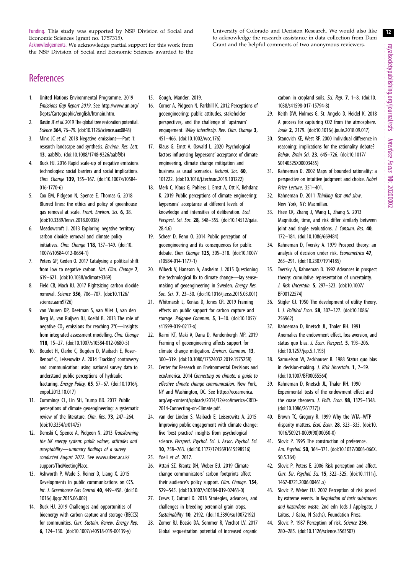royalsocietypublishing.org/journal/rsfs Interface Focus 10: 202000022

12

<span id="page-11-0"></span>Funding. This study was supported by NSF Division of Social and Economic Sciences (grant no. 1757315).

Acknowledgements. We acknowledge partial support for this work from the NSF Division of Social and Economic Sciences awarded to the

# **References**

- 1. United Nations Environmental Programme. 2019 Emissions Gap Report 2019. See [http://www.un.org/](http://www.un.org/Depts/Cartographic/english/htmain.htm) [Depts/Cartographic/english/htmain.htm.](http://www.un.org/Depts/Cartographic/english/htmain.htm)
- 2. Bastin JF et al. 2019 The global tree restoration potential. Science 364, 76–79. [\(doi:10.1126/science.aax0848](http://dx.doi.org/10.1126/science.aax0848))
- 3. Minx JC et al. 2018 Negative emissions-Part 1: research landscape and synthesis. Environ. Res. Lett. 13, aabf9b. [\(doi:10.1088/1748-9326/aabf9b](http://dx.doi.org/10.1088/1748-9326/aabf9b))
- 4. Buck HJ. 2016 Rapid scale-up of negative emissions technologies: social barriers and social implications. Clim. Change 139, 155–167. ([doi:10.1007/s10584-](http://dx.doi.org/10.1007/s10584-016-1770-6) [016-1770-6\)](http://dx.doi.org/10.1007/s10584-016-1770-6)
- 5. Cox EM, Pidgeon N, Spence E, Thomas G. 2018 Blurred lines: the ethics and policy of greenhouse gas removal at scale. Front. Environ. Sci. 6, 38. [\(doi:10.3389/fenvs.2018.00038](http://dx.doi.org/10.3389/fenvs.2018.00038))
- 6. Meadowcroft J. 2013 Exploring negative territory carbon dioxide removal and climate policy initiatives. Clim. Change 118, 137–149. ([doi:10.](http://dx.doi.org/10.1007/s10584-012-0684-1) [1007/s10584-012-0684-1\)](http://dx.doi.org/10.1007/s10584-012-0684-1)
- 7. Peters GP, Geden O. 2017 Catalysing a political shift from low to negative carbon. Nat. Clim. Change 7, 619–621. ([doi:10.1038/nclimate3369](http://dx.doi.org/10.1038/nclimate3369))
- 8. Field CB, Mach KJ. 2017 Rightsizing carbon dioxide removal. Science 356, 706–707. [\(doi:10.1126/](http://dx.doi.org/10.1126/science.aam9726) [science.aam9726](http://dx.doi.org/10.1126/science.aam9726))
- 9. van Vuuren DP, Deetman S, van Vliet J, van den Berg M, van Ruijven BJ, Koelbl B. 2013 The role of negative  $CO<sub>2</sub>$  emissions for reaching  $2^{\circ}$ C—insights from integrated assessment modelling. Clim. Change 118, 15–27. ([doi:10.1007/s10584-012-0680-5](http://dx.doi.org/10.1007/s10584-012-0680-5))
- 10. Boudet H, Clarke C, Bugden D, Maibach E, Roser-Renouf C, Leiserowitz A. 2014 'Fracking' controversy and communication: using national survey data to understand public perceptions of hydraulic fracturing. Energy Policy, 65, 57–67. [\(doi:10.1016/j.](http://dx.doi.org/10.1016/j.enpol.2013.10.017) [enpol.2013.10.017\)](http://dx.doi.org/10.1016/j.enpol.2013.10.017)
- 11. Cummings CL, Lin SH, Trump BD. 2017 Public perceptions of climate geoengineering: a systematic review of the literature. Clim. Res. 73, 247–264. [\(doi:10.3354/cr01475\)](http://dx.doi.org/10.3354/cr01475)
- 12. Demski C, Spence A, Pidgeon N. 2013 Transforming the UK energy system: public values, attitudes and acceptability—summary findings of a survey conducted August 2012. See [www.ukerc.ac.uk/](http://www.ukerc.ac.uk/support/TheMeetingPlace) [support/TheMeetingPlace](http://www.ukerc.ac.uk/support/TheMeetingPlace).
- 13. Ashworth P, Wade S, Reiner D, Liang X. 2015 Developments in public communications on CCS. Int. J. Greenhouse Gas Control 40, 449-458. ([doi:10.](http://dx.doi.org/10.1016/j.ijggc.2015.06.002) [1016/j.ijggc.2015.06.002\)](http://dx.doi.org/10.1016/j.ijggc.2015.06.002)
- 14. Buck HJ. 2019 Challenges and opportunities of bioenergy with carbon capture and storage (BECCS) for communities. Curr. Sustain. Renew. Energy Rep. 6, 124–130. [\(doi:10.1007/s40518-019-00139-y\)](http://dx.doi.org/10.1007/s40518-019-00139-y)
- 15. Gough, Mander. 2019.
- 16. Corner A, Pidgeon N, Parkhill K. 2012 Perceptions of geoengineering: public attitudes, stakeholder perspectives, and the challenge of 'upstream' engagement. Wiley Interdiscip. Rev. Clim. Change 3, 451–466. ([doi:10.1002/wcc.176](http://dx.doi.org/10.1002/wcc.176))
- 17. Klaus G, Ernst A, Oswald L. 2020 Psychological factors influencing laypersons' acceptance of climate engineering, climate change mitigation and business as usual scenarios. Technol. Soc. 60, 101222. [\(doi:10.1016/j.techsoc.2019.101222](http://dx.doi.org/10.1016/j.techsoc.2019.101222))
- 18. Merk C, Klaus G, Pohlers J, Ernst A, Ott K, Rehdanz K. 2019 Public perceptions of climate engineering: laypersons' acceptance at different levels of knowledge and intensities of deliberation. Ecol. Perspect. Sci. Soc. 28, 348-355. ([doi:10.14512/gaia.](http://dx.doi.org/10.14512/gaia.28.4.6) [28.4.6\)](http://dx.doi.org/10.14512/gaia.28.4.6)
- 19. Scheer D, Renn O. 2014 Public perception of geoengineering and its consequences for public debate. Clim. Change 125, 305–318. [\(doi:10.1007/](http://dx.doi.org/10.1007/s10584-014-1177-1) [s10584-014-1177-1\)](http://dx.doi.org/10.1007/s10584-014-1177-1)
- 20. Wibeck V, Hansson A, Anshelm J. 2015 Questioning the technological fix to climate change—lay sensemaking of geoengineering in Sweden. Energy Res. Soc. Sci. **7**, 23-30. ([doi:10.1016/j.erss.2015.03.001](http://dx.doi.org/10.1016/j.erss.2015.03.001))
- 21. Whitmarsh L, Xenias D, Jones CR. 2019 Framing effects on public support for carbon capture and storage. Palgrave Commun. 5, 1–10. [\(doi:10.1057/](http://dx.doi.org/10.1057/s41599-019-0217-x) [s41599-019-0217-x](http://dx.doi.org/10.1057/s41599-019-0217-x))
- 22. Raimi KT, Maki A, Dana D, Vandenbergh MP. 2019 Framing of geoengineering affects support for climate change mitigation. Environ. Commun. 13, 300–319. ([doi:10.1080/17524032.2019.1575258\)](http://dx.doi.org/10.1080/17524032.2019.1575258)
- 23. Center for Research on Environmental Decisions and ecoAmerica. 2014 Connecting on climate: a guide to effective climate change communication. New York, NY and Washington, DC. See [https://ecoamerica.](https://ecoamerica.org/wp-content/uploads/2014/12/ecoAmerica-CRED-2014-Connecting-on-Climate.pdf) [org/wp-content/uploads/2014/12/ecoAmerica-CRED-](https://ecoamerica.org/wp-content/uploads/2014/12/ecoAmerica-CRED-2014-Connecting-on-Climate.pdf)[2014-Connecting-on-Climate.pdf](https://ecoamerica.org/wp-content/uploads/2014/12/ecoAmerica-CRED-2014-Connecting-on-Climate.pdf).
- 24. van der Linden S, Maibach E, Leiserowitz A. 2015 Improving public engagement with climate change: five 'best practice' insights from psychological science. Perspect. Psychol. Sci. J. Assoc. Psychol. Sci. 10, 758–763. ([doi:10.1177/1745691615598516](http://dx.doi.org/10.1177/1745691615598516))
- 25. Yoeli et al. 2017.
- 26. Attari SZ, Krantz DH, Weber EU. 2019 Climate change communicators' carbon footprints affect their audience's policy support. Clim. Change. 154, 529–545. ([doi:10.1007/s10584-019-02463-0\)](http://dx.doi.org/10.1007/s10584-019-02463-0)
- 27. Crews T, Cattani D. 2018 Strategies, advances, and challenges in breeding perennial grain crops. Sustainability 10, 2192. ([doi:10.3390/su10072192](http://dx.doi.org/10.3390/su10072192))
- 28. Zomer RJ, Bossio DA, Sommer R, Verchot LV. 2017 Global sequestration potential of increased organic

carbon in cropland soils. Sci. Rep. 7, 1–8. [\(doi:10.](http://dx.doi.org/10.1038/s41598-017-15794-8) [1038/s41598-017-15794-8\)](http://dx.doi.org/10.1038/s41598-017-15794-8)

- 29. Keith DW, Holmes G, St. Angelo D, Heidel K. 2018 A process for capturing CO2 from the atmosphere. Joule 2, 2179. [\(doi:10.1016/j.joule.2018.09.017\)](http://dx.doi.org/10.1016/j.joule.2018.09.017)
- 30. Stanovich KE, West RF. 2000 Individual difference in reasoning: implications for the rationality debate? Behav. Brain Sci. 23, 645–726. ([doi:10.1017/](http://dx.doi.org/10.1017/S0140525X00003435) [S0140525X00003435](http://dx.doi.org/10.1017/S0140525X00003435))
- 31. Kahneman D. 2002 Maps of bounded rationality: a perspective on intuitive judgment and choice. Nobel Prize Lecture, 351–401.
- 32. Kahneman D. 2011 Thinking fast and slow. New York, NY: Macmillan.
- 33. Hsee CK, Zhang J, Wang L, Zhang S. 2013 Magnitude, time, and risk differ similarly between joint and single evaluations. J. Consum. Res. 40, 172–184. [\(doi:10.1086/669484](http://dx.doi.org/10.1086/669484))
- 34. Kahneman D, Tversky A. 1979 Prospect theory: an analysis of decision under risk. Econometrica 47, 263–291. [\(doi:10.2307/1914185\)](http://dx.doi.org/10.2307/1914185)
- 35. Tversky A, Kahneman D. 1992 Advances in prospect theory: cumulative representation of uncertainty. J. Risk Uncertain. 5, 297–323. ([doi:10.1007/](http://dx.doi.org/10.1007/BF00122574) [BF00122574](http://dx.doi.org/10.1007/BF00122574))
- 36. Stigler GJ. 1950 The development of utility theory. I. J. Political Econ. 58, 307–327. ([doi:10.1086/](http://dx.doi.org/10.1086/256962) [256962\)](http://dx.doi.org/10.1086/256962)
- 37. Kahneman D, Knetsch JL, Thaler RH. 1991 Anomalies the endowment effect, loss aversion, and status quo bias. J. Econ. Perspect. 5, 193–206. ([doi:10.1257/jep.5.1.193\)](http://dx.doi.org/10.1257/jep.5.1.193)
- 38. Samuelson W, Zeckhauser R. 1988 Status quo bias in decision-making. J. Risk Uncertain. 1, 7–59. ([doi:10.1007/BF00055564](http://dx.doi.org/10.1007/BF00055564))
- 39. Kahneman D, Knetsch JL, Thaler RH. 1990 Experimental tests of the endowment effect and the coase theorem. J. Polit. Econ. 98, 1325-1348. ([doi:10.1086/261737\)](http://dx.doi.org/10.1086/261737)))
- 40. Brown TC, Gregory R. 1999 Why the WTA–WTP disparity matters. Ecol. Econ. 28, 323-335. [\(doi:10.](http://dx.doi.org/10.1016/S0921-8009(98)00050-0) [1016/S0921-8009\(98\)00050-0](http://dx.doi.org/10.1016/S0921-8009(98)00050-0))
- 41. Slovic P. 1995 The construction of preference. Am. Psychol. 50, 364–371. ([doi:10.1037/0003-066X.](http://dx.doi.org/10.1037/0003-066X.50.5.364) [50.5.364](http://dx.doi.org/10.1037/0003-066X.50.5.364))
- 42. Slovic P, Peters E. 2006 Risk perception and affect. Curr. Dir. Psychol. Sci. 15, 322–325. ([doi:10.1111/j.](http://dx.doi.org/10.1111/j.1467-8721.2006.00461.x) [1467-8721.2006.00461.x\)](http://dx.doi.org/10.1111/j.1467-8721.2006.00461.x)
- 43. Slovic P, Weber EU. 2002 Perception of risk posed by extreme events. In Regulation of toxic substances and hazardous waste, 2nd edn (eds J Applegate, J Laitos, J Gaba, N Sachs). Foundation Press.
- 44. Slovic P. 1987 Perception of risk. Science 236, 280–285. [\(doi:10.1126/science.3563507\)](http://dx.doi.org/10.1126/science.3563507)

University of Colorado and Decision Research. We would also like to acknowledge the research assistance in data collection from Dani Grant and the helpful comments of two anonymous reviewers.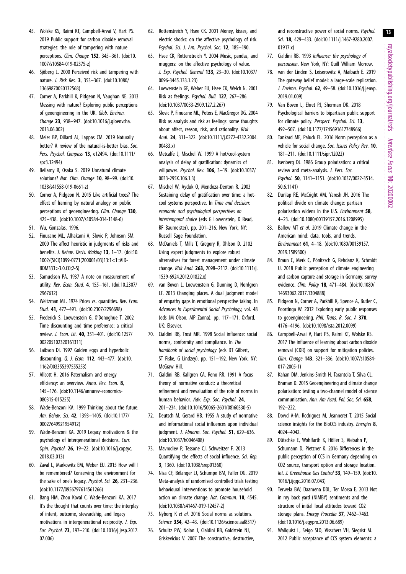royalsocietypublishing.org/journal/rsfs Interface Focus 10: 202000022

13

- <span id="page-12-0"></span>45. Wolske KS, Raimi KT, Campbell-Arvai V, Hart PS. 2019 Public support for carbon dioxide removal strategies: the role of tampering with nature perceptions. Clim. Change 152, 345–361. ([doi:10.](http://dx.doi.org/10.1007/s10584-019-02375-z) [1007/s10584-019-02375-z\)](http://dx.doi.org/10.1007/s10584-019-02375-z)
- 46. Sjöberg L. 2000 Perceived risk and tampering with nature. J. Risk Res. 3, 353–367. ([doi:10.1080/](http://dx.doi.org/10.1080/13669870050132568) [13669870050132568](http://dx.doi.org/10.1080/13669870050132568))
- 47. Corner A, Parkhill K, Pidgeon N, Vaughan NE. 2013 Messing with nature? Exploring public perceptions of geoengineering in the UK. Glob. Environ. Change 23, 938–947. ([doi:10.1016/j.gloenvcha.](http://dx.doi.org/10.1016/j.gloenvcha.2013.06.002) [2013.06.002\)](http://dx.doi.org/10.1016/j.gloenvcha.2013.06.002)
- 48. Meier BP, Dillard AJ, Lappas CM. 2019 Naturally better? A review of the natural-is-better bias. Soc. Pers. Psychol. Compass 13, e12494. ([doi:10.1111/](http://dx.doi.org/10.1111/spc3.12494) [spc3.12494\)](http://dx.doi.org/10.1111/spc3.12494)
- 49. Bellamy R, Osaka S. 2019 Unnatural climate solutions? Nat. Clim. Change 10, 98-99. ([doi:10.](http://dx.doi.org/10.1038/s41558-019-0661-z) [1038/s41558-019-0661-z](http://dx.doi.org/10.1038/s41558-019-0661-z))
- 50. Corner A, Pidgeon N. 2015 Like artificial trees? The effect of framing by natural analogy on public perceptions of geoengineering. Clim. Change 130, 425–438. ([doi:10.1007/s10584-014-1148-6](http://dx.doi.org/10.1007/s10584-014-1148-6))
- 51. Wu, Gonzalas. 1996.
- 52. Finucane ML, Alhakami A, Slovic P, Johnson SM. 2000 The affect heuristic in judgments of risks and benefits. J. Behav. Decis. Makina 13, 1-17. ([doi:10.](http://dx.doi.org/10.1002/(SICI)1099-0771(200001/03)13:1%3C1::AID-BDM333%3E3.0.CO;2-S) [1002/\(SICI\)1099-0771\(200001/03\)13:1<1::AID-](http://dx.doi.org/10.1002/(SICI)1099-0771(200001/03)13:1%3C1::AID-BDM333%3E3.0.CO;2-S)[BDM333>3.0.CO;2-S](http://dx.doi.org/10.1002/(SICI)1099-0771(200001/03)13:1%3C1::AID-BDM333%3E3.0.CO;2-S))
- 53. Samuelson PA. 1937 A note on measurement of utility. Rev. Econ. Stud. 4, 155–161. ([doi:10.2307/](http://dx.doi.org/10.2307/2967612) [2967612\)](http://dx.doi.org/10.2307/2967612)
- 54. Weitzman ML. 1974 Prices vs. quantities. Rev. Econ. Stud. 41, 477–491. ([doi:10.2307/2296698\)](http://dx.doi.org/10.2307/2296698)
- 55. Frederick S, Loewenstein G, O'Donoghue T. 2002 Time discounting and time preference: a critical review. J. Econ. Lit. 40, 351–401. ([doi:10.1257/](http://dx.doi.org/10.1257/002205102320161311) [002205102320161311\)](http://dx.doi.org/10.1257/002205102320161311)
- 56. Laibson DI. 1997 Golden eggs and hyperbolic discounting. Q. J. Econ. 112, 443–477. ([doi:10.](http://dx.doi.org/10.1162/003355397555253) [1162/003355397555253\)](http://dx.doi.org/10.1162/003355397555253)
- 57. Allcott H. 2016 Paternalism and energy efficiency: an overview. Annu. Rev. Econ. 8. 145–176. ([doi:10.1146/annurev-economics-](http://dx.doi.org/10.1146/annurev-economics-080315-015255)[080315-015255](http://dx.doi.org/10.1146/annurev-economics-080315-015255))
- 58. Wade-Benzoni KA. 1999 Thinking about the future. Am. Behav. Sci. 42, 1393–1405. [\(doi:10.1177/](http://dx.doi.org/10.1177/00027649921954912) [00027649921954912](http://dx.doi.org/10.1177/00027649921954912))
- 59. Wade-Benzoni KA. 2019 Legacy motivations & the psychology of intergenerational decisions. Curr. Opin. Psychol. 26, 19–22. ([doi:10.1016/j.copsyc.](http://dx.doi.org/10.1016/j.copsyc.2018.03.013) [2018.03.013\)](http://dx.doi.org/10.1016/j.copsyc.2018.03.013)
- 60. Zaval L, Markowitz EM, Weber EU. 2015 How will I be remembered? Conserving the environment for the sake of one's legacy. Psychol. Sci. 26, 231-236. [\(doi:10.1177/0956797614561266\)](http://dx.doi.org/10.1177/0956797614561266)
- 61. Bang HM, Zhou Koval C, Wade-Benzoni KA. 2017 It's the thought that counts over time: the interplay of intent, outcome, stewardship, and legacy motivations in intergenerational reciprocity. J. Exp. Soc. Psychol. 73, 197–210. [\(doi:10.1016/j.jesp.2017.](http://dx.doi.org/10.1016/j.jesp.2017.07.006) [07.006\)](http://dx.doi.org/10.1016/j.jesp.2017.07.006)
- 62. Rottenstreich Y, Hsee CK. 2001 Money, kisses, and electric shocks: on the affective psychology of risk. Psychol. Sci. J. Am. Psychol. Soc. 12, 185–190.
- 63. Hsee CK, Rottenstreich Y. 2004 Music, pandas, and muggers: on the affective psychology of value. J. Exp. Psychol. General 133, 23–30. [\(doi:10.1037/](http://dx.doi.org/10.1037/0096-3445.133.1.23) [0096-3445.133.1.23\)](http://dx.doi.org/10.1037/0096-3445.133.1.23)
- 64. Loewenstein GF, Weber EU, Hsee CK, Welch N. 2001 Risk as feelings. Psychol. Bull. 127, 267–286. [\(doi:10.1037/0033-2909.127.2.267\)](http://dx.doi.org/10.1037/0033-2909.127.2.267)
- 65. Slovic P, Finucane ML, Peters E, MacGregor DG. 2004 Risk as analysis and risk as feelings: some thoughts about affect, reason, risk, and rationality. Risk Anal. 24, 311–322. ([doi:10.1111/j.0272-4332.2004.](http://dx.doi.org/10.1111/j.0272-4332.2004.00433.x) [00433.x](http://dx.doi.org/10.1111/j.0272-4332.2004.00433.x))
- 66. Metcalfe J, Mischel W. 1999 A hot/cool-system analysis of delay of gratification: dynamics of willpower. Psychol. Rev. 106, 3–19. [\(doi:10.1037/](http://dx.doi.org/10.1037/0033-295X.106.1.3) [0033-295X.106.1.3](http://dx.doi.org/10.1037/0033-295X.106.1.3))
- 67. Mischel W, Ayduk O, Mendoza-Denton R. 2003 Sustaining delay of gratification over time: a hotcool systems perspective. In Time and decision: economic and psychological perspectives on intertemporal choice (eds G Lowenstein, D Read, RF Baumeister), pp. 201–216. New York, NY: Russell Sage Foundation.
- 68. McDaniels T, Mills T, Gregory R, Ohlson D. 2102 Using expert judgments to explore robust alternatives for forest management under climate change. Risk Anal. 263, 2098–2112. [\(doi:10.1111/j.](http://dx.doi.org/10.1111/j.1539-6924.2012.01822.x) [1539-6924.2012.01822.x\)](http://dx.doi.org/10.1111/j.1539-6924.2012.01822.x)
- 69. van Boven L, Loewenstein G, Dunning D, Nordgren LF. 2013 Changing places. A dual judgment model of empathy gaps in emotional perspective taking. In Advances in Experimental Social Psychology, vol. 48 (eds JM Olson, MP Zanna), pp. 117–171. Oxford, UK: Elsevier.
- 70. Cialdini RB, Trost MR. 1998 Social influence: social norms, conformity and compliance. In The handbook of social psychology (eds DT Gilbert, ST Fiske, G Lindzey), pp. 151–192. New York, NY: McGraw Hill.
- 71. Cialdini RB, Kallgren CA, Reno RR. 1991 A focus theory of normative conduct: a theoretical refinement and reevaluation of the role of norms in human behavior. Adv. Exp. Soc. Psychol. 24, 201–234. ([doi:10.1016/S0065-2601\(08\)60330-5\)](http://dx.doi.org/10.1016/S0065-2601(08)60330-5)
- 72. Deutsch M, Gerard HB. 1955 A study of normative and informational social influences upon individual judgment. J. Abnorm. Soc. Psychol. 51, 629-636. [\(doi:10.1037/h0046408\)](http://dx.doi.org/10.1037/h0046408)
- 73. Mavrodiev P, Tessone CJ, Schweitzer F. 2013 Quantifying the effects of social influence. Sci. Rep. 3, 1360. ([doi:10.1038/srep01360](http://dx.doi.org/10.1038/srep01360))
- 74. Nisa CF, Bélanger JJ, Schumpe BM, Faller DG. 2019 Meta-analysis of randomised controlled trials testing behavioural interventions to promote household action on climate change. Nat. Commun. 10, 4545. [\(doi:10.1038/s41467-019-12457-2\)](http://dx.doi.org/10.1038/s41467-019-12457-2)
- 75. Nyborg K et al. 2016 Social norms as solutions. Science 354, 42–43. ([doi:10.1126/science.aaf8317](http://dx.doi.org/10.1126/science.aaf8317))
- 76. Schultz PW, Nolan J, Cialdini RB, Goldstein NJ, Griskevicius V. 2007 The constructive, destructive,

and reconstructive power of social norms. Psychol. Sci. 18, 429–433. [\(doi:10.1111/j.1467-9280.2007.](http://dx.doi.org/10.1111/j.1467-9280.2007.01917.x) [01917.x](http://dx.doi.org/10.1111/j.1467-9280.2007.01917.x))

- 77. Cialdini RB. 1993 Influence: the psychology of persuasion. New York, NY: Quill William Morrow.
- 78. van der Linden S, Leiserowitz A, Maibach E. 2019 The gateway belief model: a large-scale replication. J. Environ. Psychol. 62, 49–58. [\(doi:10.1016/j.jenvp.](http://dx.doi.org/10.1016/j.jenvp.2019.01.009) [2019.01.009](http://dx.doi.org/10.1016/j.jenvp.2019.01.009))
- 79. Van Boven L, Ehret PJ, Sherman DK. 2018 Psychological barriers to bipartisan public support for climate policy. Perspect. Psychol. Sci. 13, 492–507. [\(doi:10.1177/1745691617748966\)](http://dx.doi.org/10.1177/1745691617748966)
- 80. Tankard ME, Paluck EL. 2016 Norm perception as a vehicle for social change. Soc. Issues Policy Rev. 10, 181–211. [\(doi:10.1111/sipr.12022](http://dx.doi.org/10.1111/sipr.12022))
- 81. Isenberg DJ. 1986 Group polarization: a critical review and meta-analysis. J. Pers. Soc. Psychol. 50, 1141–1151. ([doi:10.1037/0022-3514.](http://dx.doi.org/10.1037/0022-3514.50.6.1141) [50.6.1141\)](http://dx.doi.org/10.1037/0022-3514.50.6.1141)
- 82. Dunlap RE, McCright AM, Yarosh JH. 2016 The political divide on climate change: partisan polarization widens in the U.S. Environment 58. 4–23. [\(doi:10.1080/00139157.2016.1208995](http://dx.doi.org/10.1080/00139157.2016.1208995))
- 83. Ballew MT et al. 2019 Climate change in the American mind: data, tools, and trends. Environment 61, 4–18. [\(doi:10.1080/00139157.](http://dx.doi.org/10.1080/00139157.2019.1589300) [2019.1589300\)](http://dx.doi.org/10.1080/00139157.2019.1589300)
- 84. Braun C, Merk C, Pönitzsch G, Rehdanz K, Schmidt U. 2018 Public perception of climate engineering and carbon capture and storage in Germany: survey evidence. Clim. Policy 18, 471–484. ([doi:10.1080/](http://dx.doi.org/10.1080/14693062.2017.1304888) [14693062.2017.1304888](http://dx.doi.org/10.1080/14693062.2017.1304888))
- 85. Pidgeon N, Corner A, Parkhill K, Spence A, Butler C, Poortinga W. 2012 Exploring early public responses to geoengineering. Phil. Trans. R. Soc. A 370, 4176–4196. [\(doi:10.1098/rsta.2012.0099\)](http://dx.doi.org/10.1098/rsta.2012.0099)
- 86. Campbell-Arvai V, Hart PS, Raimi KT, Wolske KS. 2017 The influence of learning about carbon dioxide removal (CDR) on support for mitigation policies. Clim. Change 143, 321–336. [\(doi:10.1007/s10584-](http://dx.doi.org/10.1007/s10584-017-2005-1) [017-2005-1\)](http://dx.doi.org/10.1007/s10584-017-2005-1)
- 87. Kahan DM, Jenkins-Smith H, Tarantola T, Silva CL, Braman D. 2015 Geoengineering and climate change polarization: testing a two-channel model of science communication. Ann. Am Acad. Pol. Soc. Sci. 658, 192–222.
- 88. Dowd A-M, Rodriguez M, Jeanneret T. 2015 Social science insights for the BioCCS industry. Energies 8, 4024–4042.
- 89. Dütschke E, Wohlfarth K, Höller S, Viebahn P, Schumann D, Pietzner K. 2016 Differences in the public perception of CCS in Germany depending on CO2 source, transport option and storage location. Int. J. Greenhouse Gas Control 53, 149-159. [\(doi:10.](http://dx.doi.org/10.1016/j.ijggc.2016.07.043) [1016/j.ijggc.2016.07.043](http://dx.doi.org/10.1016/j.ijggc.2016.07.043))
- 90. Terwela BW, Daamena DDL, Ter Morsa E. 2013 Not in my back yard (NIMBY) sentiments and the structure of initial local attitudes toward CO2 storage plans. Energy Procedia 37, 7462–7463. ([doi:10.1016/j.egypro.2013.06.689](http://dx.doi.org/10.1016/j.egypro.2013.06.689))
- 91. Wallquist L, Seigo SLO, Visschers VH, Siegrist M. 2012 Public acceptance of CCS system elements: a